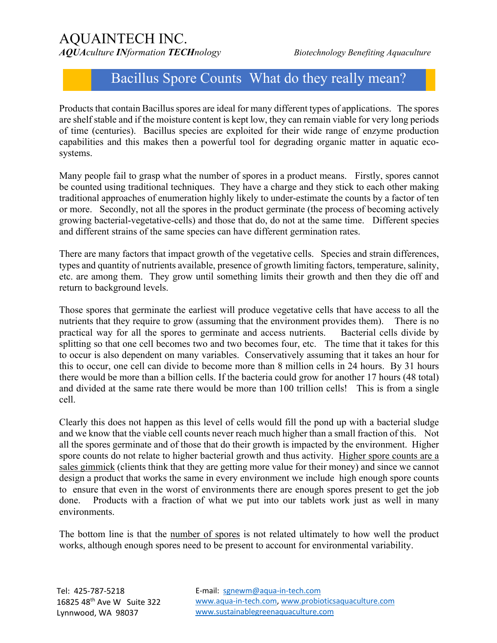## AQUAINTECH INC.

*AQUAculture INformation TECHnology Biotechnology Benefiting Aquaculture*

## Bacillus Spore Counts What do they really mean?

Products that contain Bacillus spores are ideal for many different types of applications. The spores are shelf stable and if the moisture content is kept low, they can remain viable for very long periods of time (centuries). Bacillus species are exploited for their wide range of enzyme production capabilities and this makes then a powerful tool for degrading organic matter in aquatic ecosystems.

Many people fail to grasp what the number of spores in a product means. Firstly, spores cannot be counted using traditional techniques. They have a charge and they stick to each other making traditional approaches of enumeration highly likely to under-estimate the counts by a factor of ten or more. Secondly, not all the spores in the product germinate (the process of becoming actively growing bacterial-vegetative-cells) and those that do, do not at the same time. Different species and different strains of the same species can have different germination rates.

There are many factors that impact growth of the vegetative cells. Species and strain differences, types and quantity of nutrients available, presence of growth limiting factors, temperature, salinity, etc. are among them. They grow until something limits their growth and then they die off and return to background levels.

Those spores that germinate the earliest will produce vegetative cells that have access to all the nutrients that they require to grow (assuming that the environment provides them). There is no practical way for all the spores to germinate and access nutrients. Bacterial cells divide by splitting so that one cell becomes two and two becomes four, etc. The time that it takes for this to occur is also dependent on many variables. Conservatively assuming that it takes an hour for this to occur, one cell can divide to become more than 8 million cells in 24 hours. By 31 hours there would be more than a billion cells. If the bacteria could grow for another 17 hours (48 total) and divided at the same rate there would be more than 100 trillion cells! This is from a single cell.

Clearly this does not happen as this level of cells would fill the pond up with a bacterial sludge and we know that the viable cell counts never reach much higher than a small fraction of this. Not all the spores germinate and of those that do their growth is impacted by the environment. Higher spore counts do not relate to higher bacterial growth and thus activity. Higher spore counts are a sales gimmick (clients think that they are getting more value for their money) and since we cannot design a product that works the same in every environment we include high enough spore counts to ensure that even in the worst of environments there are enough spores present to get the job done. Products with a fraction of what we put into our tablets work just as well in many environments.

The bottom line is that the number of spores is not related ultimately to how well the product works, although enough spores need to be present to account for environmental variability.